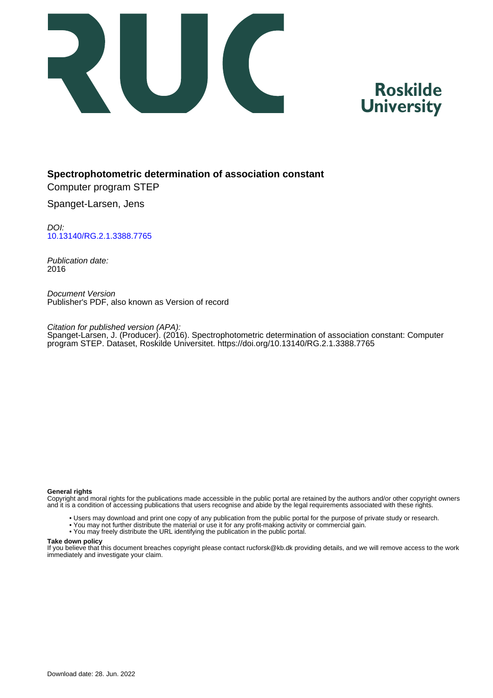

# **Roskilde University**

### **Spectrophotometric determination of association constant**

Computer program STEP

Spanget-Larsen, Jens

DOI: [10.13140/RG.2.1.3388.7765](https://doi.org/10.13140/RG.2.1.3388.7765)

Publication date: 2016

Document Version Publisher's PDF, also known as Version of record

Citation for published version (APA): Spanget-Larsen, J. (Producer). (2016). Spectrophotometric determination of association constant: Computer program STEP. Dataset, Roskilde Universitet. <https://doi.org/10.13140/RG.2.1.3388.7765>

#### **General rights**

Copyright and moral rights for the publications made accessible in the public portal are retained by the authors and/or other copyright owners and it is a condition of accessing publications that users recognise and abide by the legal requirements associated with these rights.

- Users may download and print one copy of any publication from the public portal for the purpose of private study or research.
- You may not further distribute the material or use it for any profit-making activity or commercial gain.
- You may freely distribute the URL identifying the publication in the public portal.

#### **Take down policy**

If you believe that this document breaches copyright please contact rucforsk@kb.dk providing details, and we will remove access to the work immediately and investigate your claim.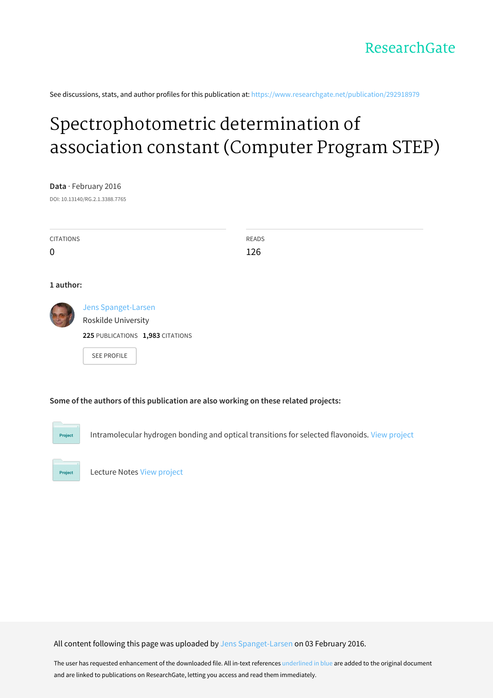See discussions, stats, and author profiles for this publication at: [https://www.researchgate.net/publication/292918979](https://www.researchgate.net/publication/292918979_Spectrophotometric_determination_of_association_constant_Computer_Program_STEP?enrichId=rgreq-3e643e586cc1de2f132270c08721b703-XXX&enrichSource=Y292ZXJQYWdlOzI5MjkxODk3OTtBUzozMjUwMDQ4MDY5MDE3NjRAMTQ1NDQ5ODU5MjczOA%3D%3D&el=1_x_2&_esc=publicationCoverPdf)

# [Spectrophotometric](https://www.researchgate.net/publication/292918979_Spectrophotometric_determination_of_association_constant_Computer_Program_STEP?enrichId=rgreq-3e643e586cc1de2f132270c08721b703-XXX&enrichSource=Y292ZXJQYWdlOzI5MjkxODk3OTtBUzozMjUwMDQ4MDY5MDE3NjRAMTQ1NDQ5ODU5MjczOA%3D%3D&el=1_x_3&_esc=publicationCoverPdf) determination of association constant (Computer Program STEP)

**Data** · February 2016 DOI: 10.13140/RG.2.1.3388.7765

| <b>CITATIONS</b> |                                                                                               | READS |
|------------------|-----------------------------------------------------------------------------------------------|-------|
| $\mathbf 0$      |                                                                                               | 126   |
| 1 author:        |                                                                                               |       |
|                  | Jens Spanget-Larsen<br>Roskilde University<br>225 PUBLICATIONS 1,983 CITATIONS<br>SEE PROFILE |       |

**Some of the authors of this publication are also working on these related projects:**

Project

Project

Intramolecular hydrogen bonding and optical transitions for selected flavonoids. View [project](https://www.researchgate.net/project/Intramolecular-hydrogen-bonding-and-optical-transitions-for-selected-flavonoids?enrichId=rgreq-3e643e586cc1de2f132270c08721b703-XXX&enrichSource=Y292ZXJQYWdlOzI5MjkxODk3OTtBUzozMjUwMDQ4MDY5MDE3NjRAMTQ1NDQ5ODU5MjczOA%3D%3D&el=1_x_9&_esc=publicationCoverPdf)

Lecture Notes View [project](https://www.researchgate.net/project/Lecture-Notes-2?enrichId=rgreq-3e643e586cc1de2f132270c08721b703-XXX&enrichSource=Y292ZXJQYWdlOzI5MjkxODk3OTtBUzozMjUwMDQ4MDY5MDE3NjRAMTQ1NDQ5ODU5MjczOA%3D%3D&el=1_x_9&_esc=publicationCoverPdf)

All content following this page was uploaded by Jens [Spanget-Larsen](https://www.researchgate.net/profile/Jens_Spanget-Larsen?enrichId=rgreq-3e643e586cc1de2f132270c08721b703-XXX&enrichSource=Y292ZXJQYWdlOzI5MjkxODk3OTtBUzozMjUwMDQ4MDY5MDE3NjRAMTQ1NDQ5ODU5MjczOA%3D%3D&el=1_x_10&_esc=publicationCoverPdf) on 03 February 2016.

The user has requested enhancement of the downloaded file. All in-text references underlined in blue are added to the original document and are linked to publications on ResearchGate, letting you access and read them immediately.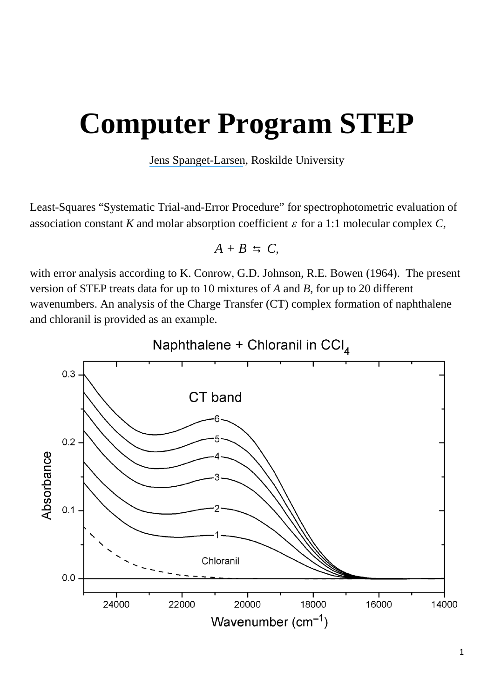# **Computer Program STEP**

[Jens Spanget-Larsen](https://www.researchgate.net/profile/Jens_Spanget-Larsen?el=1_x_100&enrichId=rgreq-3e643e586cc1de2f132270c08721b703-XXX&enrichSource=Y292ZXJQYWdlOzI5MjkxODk3OTtBUzozMjUwMDQ4MDY5MDE3NjRAMTQ1NDQ5ODU5MjczOA==), Roskilde University

Least-Squares "Systematic Trial-and-Error Procedure" for spectrophotometric evaluation of association constant *K* and molar absorption coefficient  $\varepsilon$  for a 1:1 molecular complex *C*,

$$
A + B \Leftrightarrow C,
$$

with error analysis according to K. Conrow, G.D. Johnson, R.E. Bowen (1964). The present version of STEP treats data for up to 10 mixtures of *A* and *B*, for up to 20 different wavenumbers. An analysis of the Charge Transfer (CT) complex formation of naphthalene and chloranil is provided as an example.

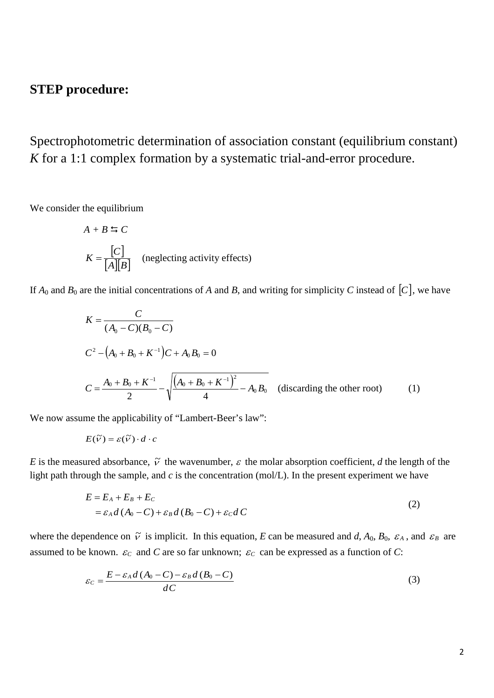# **STEP procedure:**

Spectrophotometric determination of association constant (equilibrium constant) *K* for a 1:1 complex formation by a systematic trial-and-error procedure.

We consider the equilibrium

$$
A + B \leftrightarrows C
$$

$$
K = \frac{[C]}{[A][B]}
$$
 (neglecting activity effects)

If  $A_0$  and  $B_0$  are the initial concentrations of *A* and *B*, and writing for simplicity *C* instead of  $[C]$ , we have

$$
K = \frac{C}{(A_0 - C)(B_0 - C)}
$$
  
\n
$$
C^2 - (A_0 + B_0 + K^{-1})C + A_0B_0 = 0
$$
  
\n
$$
C = \frac{A_0 + B_0 + K^{-1}}{2} - \sqrt{\frac{(A_0 + B_0 + K^{-1})^2}{4} - A_0B_0}
$$
 (discarding the other root) (1)

We now assume the applicability of "Lambert-Beer's law":

$$
E(\widetilde{v}) = \varepsilon(\widetilde{v}) \cdot d \cdot c
$$

*E* is the measured absorbance,  $\tilde{v}$  the wavenumber,  $\varepsilon$  the molar absorption coefficient, *d* the length of the light path through the sample, and *c* is the concentration (mol/L). In the present experiment we have

$$
E = E_A + E_B + E_C
$$
  
=  $\varepsilon_A d (A_0 - C) + \varepsilon_B d (B_0 - C) + \varepsilon_C d C$  (2)

where the dependence on  $\tilde{v}$  is implicit. In this equation, *E* can be measured and *d*,  $A_0$ ,  $B_0$ ,  $\varepsilon_A$ , and  $\varepsilon_B$  are assumed to be known.  $\varepsilon_c$  and *C* are so far unknown;  $\varepsilon_c$  can be expressed as a function of *C*:

$$
\varepsilon_C = \frac{E - \varepsilon_A d (A_0 - C) - \varepsilon_B d (B_0 - C)}{d C}
$$
\n(3)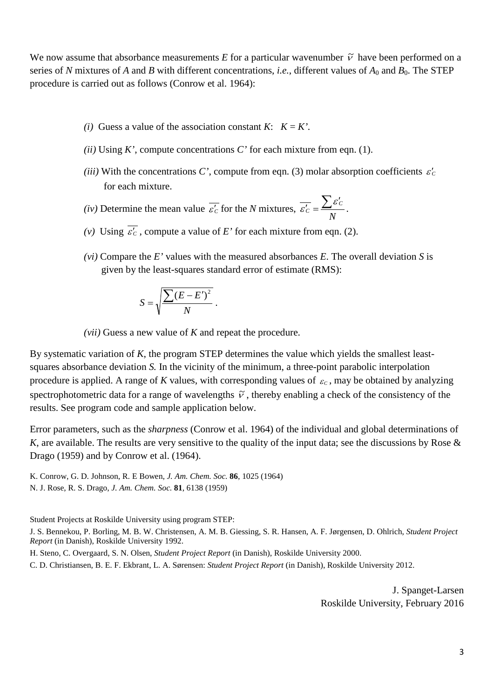We now assume that absorbance measurements *E* for a particular wavenumber  $\tilde{v}$  have been performed on a series of *N* mixtures of *A* and *B* with different concentrations, *i.e.*, different values of  $A_0$  and  $B_0$ . The STEP procedure is carried out as follows (Conrow et al. 1964):

- *(i)* Guess a value of the association constant *K*:  $K = K'$ .
- *(ii)* Using *K'*, compute concentrations *C'* for each mixture from eqn. (1).
- *(iii)* With the concentrations *C*', compute from eqn. (3) molar absorption coefficients  $\varepsilon'$ for each mixture.
- *(iv)* Determine the mean value  $\overline{\varepsilon'_{C}}$  for the *N* mixtures,  $\overline{\varepsilon'_{C}} = \frac{\sum \varepsilon_{C}}{N}$  $\overline{\varepsilon'_{C}} = \frac{\sum \varepsilon'_{C}}{\sum \varepsilon'_{C}}$ .
- *(v)* Using  $\varepsilon'_{C}$ , compute a value of *E*' for each mixture from eqn. (2).
- *(vi)* Compare the *E'* values with the measured absorbances *E*. The overall deviation *S* is given by the least-squares standard error of estimate (RMS):

$$
S = \sqrt{\frac{\sum (E - E')^2}{N}}.
$$

*(vii)* Guess a new value of *K* and repeat the procedure.

By systematic variation of *K*, the program STEP determines the value which yields the smallest leastsquares absorbance deviation *S.* In the vicinity of the minimum, a three-point parabolic interpolation procedure is applied. A range of *K* values, with corresponding values of  $\varepsilon_c$ , may be obtained by analyzing spectrophotometric data for a range of wavelengths  $\tilde{v}$ , thereby enabling a check of the consistency of the results. See program code and sample application below.

Error parameters, such as the *sharpness* (Conrow et al. 1964) of the individual and global determinations of *K*, are available. The results are very sensitive to the quality of the input data; see the discussions by Rose & Drago (1959) and by Conrow et al. (1964).

K. Conrow, G. D. Johnson, R. E Bowen, *J. Am. Chem. Soc.* **86**, 1025 (1964) N. J. Rose, R. S. Drago, *J. Am. Chem. Soc.* **81**, 6138 (1959)

Student Projects at Roskilde University using program STEP:

J. S. Bennekou, P. Borling, M. B. W. Christensen, A. M. B. Giessing, S. R. Hansen, A. F. Jørgensen, D. Ohlrich, *Student Project Report* (in Danish), Roskilde University 1992.

H. Steno, C. Overgaard, S. N. Olsen, *Student Project Report* (in Danish), Roskilde University 2000.

C. D. Christiansen, B. E. F. Ekbrant, L. A. Sørensen: *Student Project Report* (in Danish), Roskilde University 2012.

J. Spanget-Larsen Roskilde University, February 2016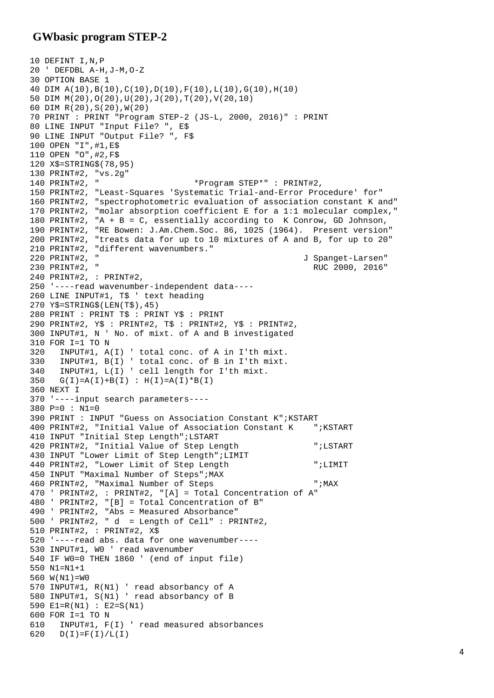## **GWbasic program STEP-2**

```
10 DEFINT I,N,P
20 ' DEFDBL A-H,J-M,O-Z
30 OPTION BASE 1
40 DIM A(10),B(10),C(10),D(10),F(10),L(10),G(10),H(10)
50 DIM M(20),O(20),U(20),J(20),T(20),V(20,10)
60 DIM R(20),S(20),W(20)
70 PRINT : PRINT "Program STEP-2 (JS-L, 2000, 2016)" : PRINT
80 LINE INPUT "Input File? ", E$
90 LINE INPUT "Output File? ", F$
100 OPEN "I",#1,E$
110 OPEN "O",#2,F$
120 X$=STRING$(78,95)
130 PRINT#2, "vs.2g"
                                 140 PRINT#2, " *Program STEP*" : PRINT#2, 
150 PRINT#2, "Least-Squares 'Systematic Trial-and-Error Procedure' for"
160 PRINT#2, "spectrophotometric evaluation of association constant K and"
170 PRINT#2, "molar absorption coefficient E for a 1:1 molecular complex,"
180 PRINT#2, "A + B = C, essentially according to K Conrow, GD Johnson, 
190 PRINT#2, "RE Bowen: J.Am.Chem.Soc. 86, 1025 (1964). Present version"
200 PRINT#2, "treats data for up to 10 mixtures of A and B, for up to 20"
210 PRINT#2, "different wavenumbers."<br>220 PRINT#2, "
220 PRINT#2, " J Spanget-Larsen"
                                                         RUC 2000, 2016"
240 PRINT#2, : PRINT#2,
250 '----read wavenumber-independent data----
260 LINE INPUT#1, T$ ' text heading
270 Y$=STRING$(LEN(T$),45)
280 PRINT : PRINT T$ : PRINT Y$ : PRINT
290 PRINT#2, Y$ : PRINT#2, T$ : PRINT#2, Y$ : PRINT#2, 
300 INPUT#1, N ' No. of mixt. of A and B investigated
310 FOR I=1 TO N<br>320 INPUT#1, A
320 INPUT#1, A(I) ' total conc. of A in I'th mixt. 
330 INPUT#1, B(I) ' total conc. of B in I'th mixt.
340 INPUT#1, L(I) ' cell length for I'th mixt.<br>350 G(I)=A(I)+B(I): H(I)=A(I)*B(I)G(I) = A(I) + B(I) : H(I) = A(I) * B(I)360 NEXT I
370 '----input search parameters----
380 P=0 : N1=0
390 PRINT : INPUT "Guess on Association Constant K";KSTART
400 PRINT#2, "Initial Value of Association Constant K ";KSTART
410 INPUT "Initial Step Length";LSTART
420 PRINT#2, "Initial Value of Step Length ";LSTART
430 INPUT "Lower Limit of Step Length";LIMIT
440 PRINT#2, "Lower Limit of Step Length ";LIMIT
450 INPUT "Maximal Number of Steps";MAX
460 PRINT#2, "Maximal Number of Steps ";MAX
470 ' PRINT#2, : PRINT#2, "[A] = Total Concentration of A"
480 ' PRINT#2, "[B] = Total Concentration of B"
490 ' PRINT#2, "Abs = Measured Absorbance"
500 ' PRINT#2, " d = Length of Cell" : PRINT#2,
510 PRINT#2, : PRINT#2, X$
520 '----read abs. data for one wavenumber----
530 INPUT#1, W0 ' read wavenumber
540 IF W0=0 THEN 1860 ' (end of input file)
550 N1=N1+1
560 W(N1)=W0
570 INPUT#1, R(N1) ' read absorbancy of A
580 INPUT#1, S(N1) ' read absorbancy of B
590 E1=R(N1) : E2=S(N1)
600 FOR I=1 TO N
610 INPUT#1, F(I) ' read measured absorbances
620 D(I)=F(I)/L(I)
```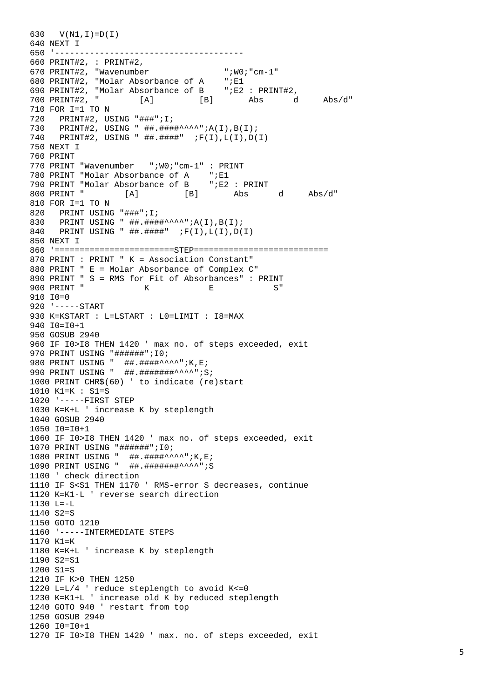630 V(N1,I)=D(I) 640 NEXT I 650 '-------------------------------------- 660 PRINT#2, : PRINT#2, 670 PRINT#2, "Wavenumber ";W0;"cm-1" 680 PRINT#2, "Molar Absorbance of A 690 PRINT#2, "Molar Absorbance of B ";E2 : PRINT#2,  $[A]$   $[B]$  Abs d Abs/d" 710 FOR I=1 TO N 720 PRINT#2, USING "###";I; 730 PRINT#2, USING " ##.####^^^^";A(I),B(I); 740 PRINT#2, USING " ##.####" ;F(I),L(I),D(I) 750 NEXT I 760 PRINT 770 PRINT "Wavenumber ";W0;"cm-1" : PRINT<br>780 PRINT "Molar Absorbance of A ";E1 780 PRINT "Molar Absorbance of A 790 PRINT "Molar Absorbance of B ";E2 : PRINT  $[A]$   $[B]$  Abs d Abs/d" 810 FOR I=1 TO N 820 PRINT USING "###";I;<br>830 PRINT USING "##.### 830 PRINT USING " ##.####^^^^";A(I),B(I);<br>840 PRINT USING " ##.####" ;F(I),L(I),D( PRINT USING "  $\#$ . $\#$  $\#$  $\#$  $\#$  $\#$  $\#$ ;  $F(I)$ , $L(I)$ , $D(I)$ 850 NEXT I 860 '========================STEP=========================== 870 PRINT : PRINT " K = Association Constant" 880 PRINT " E = Molar Absorbance of Complex C" 890 PRINT "  $S = RMS$  for Fit of Absorbances" : PRINT<br>900 PRINT "  $K = E$   $S$ " 900 PRINT " K E S" 910 I0=0 920 '-----START 930 K=KSTART : L=LSTART : L0=LIMIT : I8=MAX  $940 T0=10+1$ 950 GOSUB 2940 960 IF I0>I8 THEN 1420 ' max no. of steps exceeded, exit 970 PRINT USING "#######";I0; 980 PRINT USING "  $\#$  $\#$  $\#$  $\#$  $\#$  $\#$  $\#$  $\#$  $\sim$  $\sim$ ";K,E; 990 PRINT USING " ##.#######^^^^";S; 1000 PRINT CHR\$(60) ' to indicate (re)start 1010 K1=K : S1=S 1020 '-----FIRST STEP 1030 K=K+L ' increase K by steplength 1040 GOSUB 2940  $1050 T0=10+1$ 1060 IF I0>I8 THEN 1420 ' max no. of steps exceeded, exit 1070 PRINT USING "######";I0; 1080 PRINT USING " ##.####^^^^";K,E; 1090 PRINT USING " ##.#######^^^^";S 1100 ' check direction 1110 IF S<S1 THEN 1170 ' RMS-error S decreases, continue 1120 K=K1-L ' reverse search direction 1130 L=-L 1140 S2=S 1150 GOTO 1210 1160 '-----INTERMEDIATE STEPS  $1170 K1=K$ 1180 K=K+L ' increase K by steplength 1190 S2=S1  $1200 \text{ } SI = S$ 1210 IF K>0 THEN 1250 1220 L=L/4 ' reduce steplength to avoid K<=0 1230 K=K1+L ' increase old K by reduced steplength 1240 GOTO 940 ' restart from top 1250 GOSUB 2940 1260 I0=I0+1 1270 IF I0>I8 THEN 1420 ' max. no. of steps exceeded, exit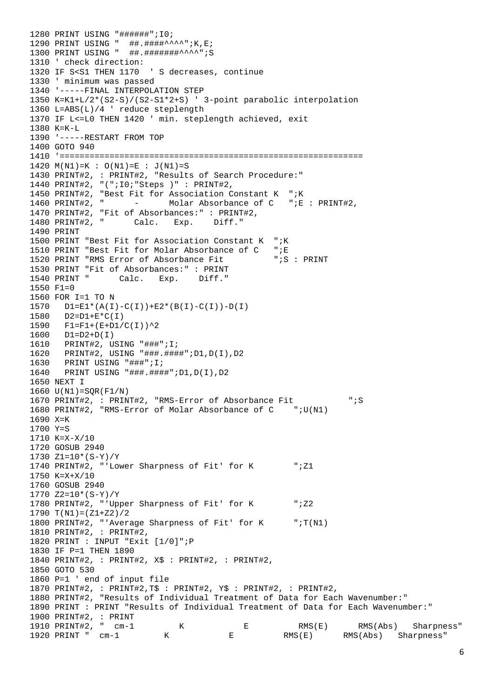```
1280 PRINT USING "######";I0;
1290 PRINT USING " ##.####^^^^";K,E;
1300 PRINT USING " ##.#######^^^^";S
1310 ' check direction:<br>1320 IF S<S1 THEN 1170
                         ' S decreases, continue
1330 ' minimum was passed
1340 '-----FINAL INTERPOLATION STEP 
1350 K=K1+L/2*(S2-S)/(S2-S1*2+S) ' 3-point parabolic interpolation
1360 L=ABS(L)/4 ' reduce steplength
1370 IF L<=L0 THEN 1420 ' min. steplength achieved, exit
1380 K=K-L
1390 '-----RESTART FROM TOP
1400 GOTO 940
1410 '============================================================= 
1420 M(N1) = K : O(N1) = E : J(N1) = S1430 PRINT#2, : PRINT#2, "Results of Search Procedure:"
1440 PRINT#2, "(";I0;"Steps )" : PRINT#2,
1450 PRINT#2, "Best Fit for Association Constant K "; K<br>1460 PRINT#2, " - Molar Absorbance of C "; E
                     - Molar Absorbance of C ";E : PRINT#2,
1470 PRINT#2, "Fit of Absorbances:" : PRINT#2,<br>1480 PRINT#2, "Calc. Exp. Diff."
1480 PRINT#2, " Calc. Exp.
1490 PRINT 
1500 PRINT "Best Fit for Association Constant K ";K
1510 PRINT "Best Fit for Molar Absorbance of C ";E<br>1520 PRINT "RMS Error of Absorbance Fit ";S : PRINT
1520 PRINT "RMS Error of Absorbance Fit
1530 PRINT "Fit of Absorbances:" : PRINT<br>1540 PRINT " Calc. Exp. Diff."
                 Calc. Exp.
1550 F1=0
1560 FOR I=1 TO N
1570 DI=E1*(A(I)-C(I))+E2*(B(I)-C(I))-D(I)<br>1580 D2=D1+E*C(T)1580 D2=D1+E*C(I)<br>1590 F1=F1+(E+D1/
1590 F1 = F1 + (E + D1/C(I))^2<br>1600 D1 = D2 + D(T)1600 D1=D2+D(I)<br>1610 PRINT#2. U
1610 PRINT#2, USING "###";I;
1620 PRINT#2, USING "###.####";D1,D(I),D2
1630 PRINT USING "###";I;
      PRINT USING "###.#####";D1,D(I),D2
1650 NEXT I
1660 U(N1)=SQR(F1/N)
1670 PRINT#2, : PRINT#2, "RMS-Error of Absorbance Fit "; S
1680 PRINT#2, "RMS-Error of Molar Absorbance of C ";U(N1)
1690 \text{ X=K}1700 Y=S
1710 K=X-X/10
1720 GOSUB 2940
1730 Z1=10*(S-Y)/Y
1740 PRINT#2, "'Lower Sharpness of Fit' for K ";Z1
1750 K=X+X/10
1760 GOSUB 2940
1770 Z2=10*(S-Y)/Y1780 PRINT#2, "'Upper Sharpness of Fit' for K ";Z2
1790 T(N1) = (Z1+Z2)/21800 PRINT#2, "'Average Sharpness of Fit' for K ";T(N1)
1810 PRINT#2, : PRINT#2,
1820 PRINT : INPUT "Exit [1/0]";P
1830 IF P=1 THEN 1890
1840 PRINT#2, : PRINT#2, X$ : PRINT#2, : PRINT#2, 
1850 GOTO 530 
1860 P=1 ' end of input file
1870 PRINT#2, : PRINT#2,T$ : PRINT#2, Y$ : PRINT#2, : PRINT#2,
1880 PRINT#2, "Results of Individual Treatment of Data for Each Wavenumber:"
1890 PRINT : PRINT "Results of Individual Treatment of Data for Each Wavenumber:"
1900 PRINT#2, : PRINT
1910 PRINT#2, " cm-1 K E RMS(E) RMS(Abs) Sharpness"
1920 PRINT " cm-1 K E RMS(E) RMS(Abs) Sharpness"
```
6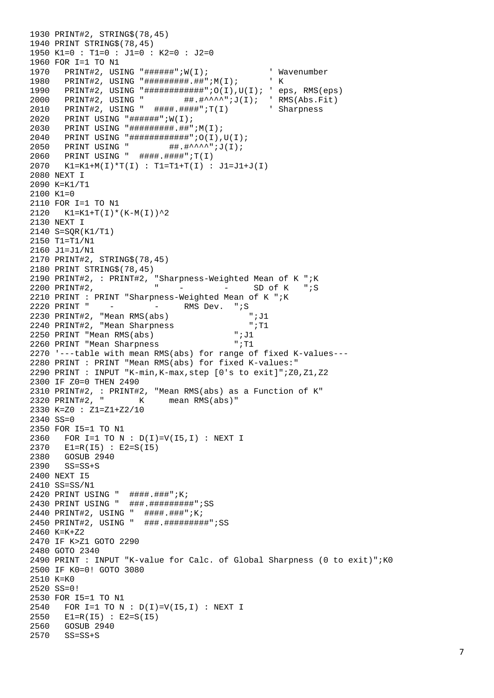```
1930 PRINT#2, STRING$(78,45)
1940 PRINT STRING$(78,45)
1950 K1=0 : T1=0 : J1=0 : K2=0 : J2=0
1960 FOR I=1 TO N1<br>1970 PRINT#2, USING "#######";W(I);
1970 PRINT#2, USING "######";W(I); ' Wavenumber
1980 PRINT#2, USING "#########.##";M(I); ' K
1990 PRINT#2, USING "#############";O(I),U(I); ' eps, RMS(eps)
2000 PRINT#2, USING " \#\#\ast<sup>^</sup>^^";J(I); 'RMS(Abs.Fit)<br>2010 PRINT#2. USING " \#\#\#\#\#\#\#\#;T(1) ' Sharpness
2010 PRINT#2, USING " ####.####";T(I)
2020 PRINT USING "######";W(I);
2030 PRINT USING "#########.##";M(I);
2040 PRINT USING "############";O(I),U(I);
2050    PRINT USING "    ##.#^^^^";J(I);
2060 PRINT USING " ####.####";T(I)
2070 K1=K1+M(I)*T(I) : T1=T1+T(I) : J1=J1+J(I)
2080 NEXT I
2090 K=K1/T1
2100 \text{ K}1=02110 FOR I=1 TO N1
2120 K1=K1+T(I)*(K-M(I))^2
2130 NEXT I
2140 S=SQR(K1/T1)
2150 T1=T1/N1
2160 J1=J1/N1
2170 PRINT#2, STRING$(78,45)
2180 PRINT STRING$(78,45)
2190 PRINT#2, : PRINT#2, "Sharpness-Weighted Mean of K ";K<br>2200 PRINT#2, " - - - SD of K ";S
                           \overline{P} - - - SD of K
2210 PRINT : PRINT "Sharpness-Weighted Mean of K "; K<br>2220 PRINT " - - - RMS Dev. "; S
2220 PRINT " - - - RMS Dev. ";S<br>2230 PRINT#2. "Mean RMS(abs) ";J1
2230 PRINT#2, "Mean RMS(abs) \begin{array}{ccc} & \text{``iJ1} \\ & \text{2240} & \text{PRINT} \end{array}" 2240 PRINT#2, "Mean Sharpness<br>2250 PRINT "Mean RMS(abs) " ";J1
2250 PRINT "Mean RMS(abs) ';J1<br>2260 PRINT "Mean Sharpness ";T1
2260 PRINT "Mean Sharpness
2270 '---table with mean RMS(abs) for range of fixed K-values--- 
2280 PRINT : PRINT "Mean RMS(abs) for fixed K-values:"
2290 PRINT : INPUT "K-min,K-max,step [0's to exit]";Z0,Z1,Z2
2300 IF Z0=0 THEN 2490
2310 PRINT#2, : PRINT#2, "Mean RMS(abs) as a Function of K"
2320 PRINT#2, " K mean RMS(abs)"
2330 K=Z0 : Z1=Z1+Z2/10
2340 SS=0
2350 FOR I5=1 TO N1
2360 FOR I=1 TO N : D(I)=V(I5,I) : NEXT I
2370 E1=R(I5) : E2=S(I5)
2380 GOSUB 2940<br>2390 SS=SS+S
      SS = SS + S2400 NEXT I5
2410 SS=SS/N1
2420 PRINT USING " ####.###";K;
2430 PRINT USING " ###.#########";SS
2440 PRINT#2, USING " ####.###";K;
2450 PRINT#2, USING " ###.#########";SS
2460 K=K+Z2
2470 IF K>Z1 GOTO 2290
2480 GOTO 2340
2490 PRINT : INPUT "K-value for Calc. of Global Sharpness (0 to exit)";K0
2500 IF K0=0! GOTO 3080
2510 K=K0
2520 SS=0!
2530 FOR I5=1 TO N1
2540 FOR I=1 TO N : D(I)=V(I5,I) : NEXT I
2550 E1=R(I5) : E2=S(I5)
2560 GOSUB 2940
2570 SS=SS+S
```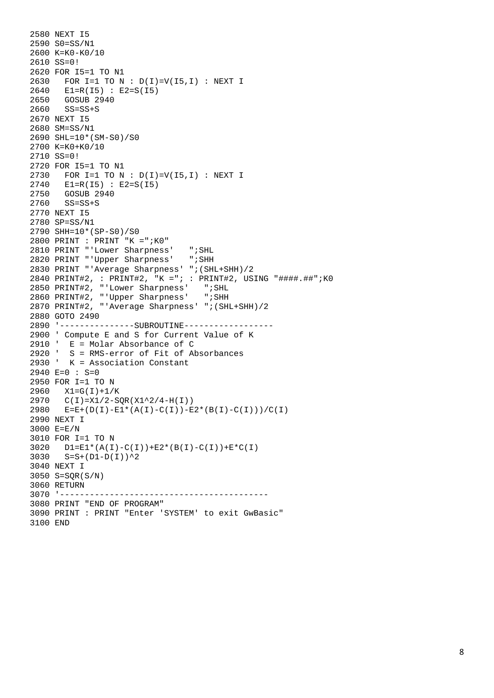```
2580 NEXT I5
2590 S0=SS/N1
2600 K=K0-K0/10 
2610 SS=0!
2620 FOR I5=1 TO N1
2630 FOR I=1 TO N : D(I)=V(I5,I) : NEXT I
2640 E1=R(I5) : E2=S(I5)
2650 GOSUB 2940
2660 SS=SS+S
2670 NEXT I5
2680 SM=SS/N1
2690 SHL=10*(SM-S0)/S0
2700 K=K0+K0/10 
2710 SS=0!
2720 FOR I5=1 TO N1
2730 FOR I=1 TO N : D(I)=V(I5,I) : NEXT I
2740 E1=R(I5) : E2=S(I5)
2750 GOSUB 2940
2760 SS=SS+S
2770 NEXT I5
2780 SP=SS/N1
2790 SHH=10*(SP-S0)/S0
2800 PRINT : PRINT "K =";K0"
2810 PRINT "'Lower Sharpness' ";SHL<br>2820 PRINT "'Upper Sharpness' ";SHH
2820 PRINT "'Upper Sharpness'
2830 PRINT "'Average Sharpness' ";(SHL+SHH)/2
2840 PRINT#2, : PRINT#2, "K ="; : PRINT#2, USING "####.##";K0<br>2850 PRINT#2, "'Lower Sharpness' ";SHL
2850 PRINT#2, "'Lower Sharpness' ";SHL<br>2860 PRINT#2, "'Upper Sharpness' ";SHH
2860 PRINT#2, "'Upper Sharpness'
2870 PRINT#2, "'Average Sharpness' ";(SHL+SHH)/2
2880 GOTO 2490
2890 '---------------SUBROUTINE------------------
2900 ' Compute E and S for Current Value of K<br>2910 ' E = Molar Absorbance of C
       E = Molar Absorbance of C
2920 ' S = RMS-error of Fit of Absorbances
2930 ' K = Association Constant
2940 E=0 : S=0
2950 FOR I=1 TO N
2960 X1=G(I)+1/K
2970 C(I)=X1/2-SQR(X1^2/4-H(I))<br>2980 E=E+(D(T)-E1*(A(T)-C(T))-E)E=E+(D(I)-E1*(A(I)-C(I))-E2*(B(I)-C(I)))/C(I)
2990 NEXT I
3000 E=E/N
3010 FOR I=1 TO N
3020 DI=EL*(A(I)-C(I))+E2*(B(I)-C(I))+E*C(I)3030 S=S+(D1-D(I))^23040 NEXT I
3050 S=SQR(S/N)
3060 RETURN
3070 '------------------------------------------
3080 PRINT "END OF PROGRAM"
3090 PRINT : PRINT "Enter 'SYSTEM' to exit GwBasic"
3100 END
```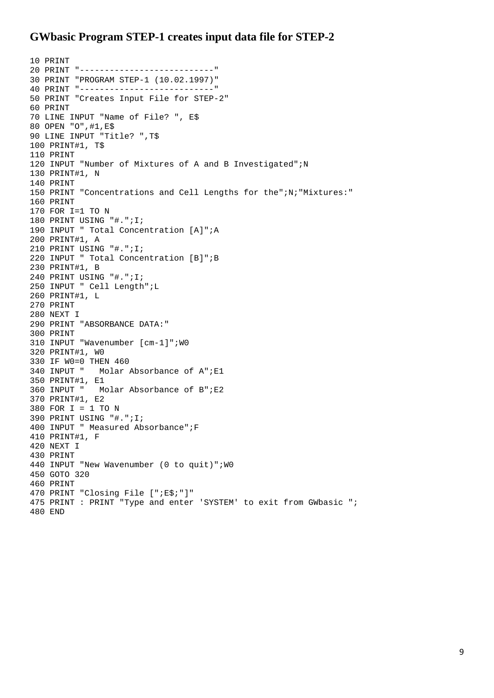# **GWbasic Program STEP-1 creates input data file for STEP-2**

```
10 PRINT
20 PRINT "---------------------------"
30 PRINT "PROGRAM STEP-1 (10.02.1997)"
40 PRINT "---------------------------"
50 PRINT "Creates Input File for STEP-2"
60 PRINT
70 LINE INPUT "Name of File? ", E$
80 OPEN "O",#1,E$
90 LINE INPUT "Title? ",T$
100 PRINT#1, T$
110 PRINT 
120 INPUT "Number of Mixtures of A and B Investigated";N
130 PRINT#1, N
140 PRINT
150 PRINT "Concentrations and Cell Lengths for the";N;"Mixtures:"
160 PRINT
170 FOR I=1 TO N
180 PRINT USING "#.";I;
190 INPUT " Total Concentration [A]";A
200 PRINT#1, A
210 PRINT USING "#.";I;
220 INPUT " Total Concentration [B]";B
230 PRINT#1, B 
240 PRINT USING "#.";I;
250 INPUT " Cell Length";L
260 PRINT#1, L
270 PRINT
280 NEXT I
290 PRINT "ABSORBANCE DATA:"
300 PRINT
310 INPUT "Wavenumber [cm-1]";W0
320 PRINT#1, W0
330 IF W0=0 THEN 460<br>340 INPUT " Molar
             Molar Absorbance of A";E1
350 PRINT#1, E1<br>360 INPUT " M
             Molar Absorbance of B";E2
370 PRINT#1, E2
380 FOR I = 1 TO N
390 PRINT USING "#.";I;
400 INPUT " Measured Absorbance";F
410 PRINT#1, F
420 NEXT I
430 PRINT
440 INPUT "New Wavenumber (0 to quit)";W0
450 GOTO 320
460 PRINT 
470 PRINT "Closing File [";E$;"]"
475 PRINT : PRINT "Type and enter 'SYSTEM' to exit from GWbasic ";
480 END
```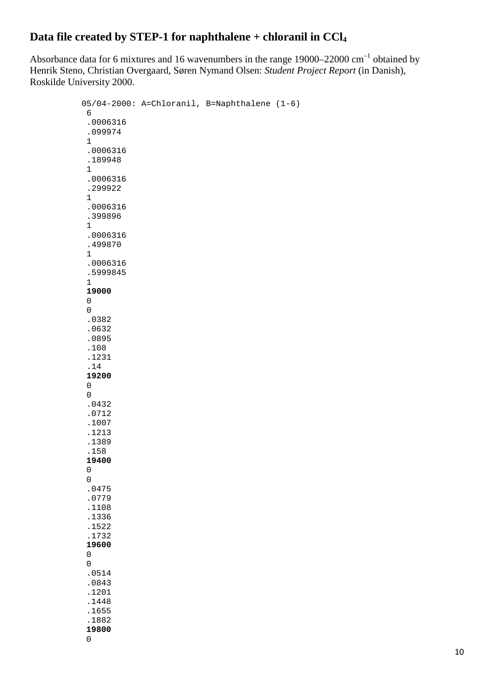# **Data file created by STEP-1 for naphthalene + chloranil in CCl4**

Absorbance data for 6 mixtures and 16 wavenumbers in the range  $19000-22000$  cm<sup>-1</sup> obtained by Henrik Steno, Christian Overgaard, Søren Nymand Olsen: *Student Project Report* (in Danish), Roskilde University 2000.

```
05/04-2000: A=Chloranil, B=Naphthalene (1-6)
 6 
 .0006316 
 .099974 
 1 
 .0006316 
 .189948 
 1 
 .0006316 
 .299922 
 1 
 .0006316 
 .399896 
 1 
 .0006316 
 .499870 
 1 
 .0006316 
 .5999845 
 1 
 19000 
 0 
 0 
 .0382 
 .0632 
 .0895 
 .108 
 .1231 
 .14 
 19200 
 0 
 0 
 .0432 
 .0712 
 .1007 
 .1213 
 .1389 
 .158 
 19400 
 0 
 0 
 .0475 
 .0779 
 .1108 
 .1336 
 .1522 
 .1732 
 19600 
 0 
 0 
 .0514 
 .0843
 .1201 
 .1448 
 .1655 
 .1882 
 19800 
 0
```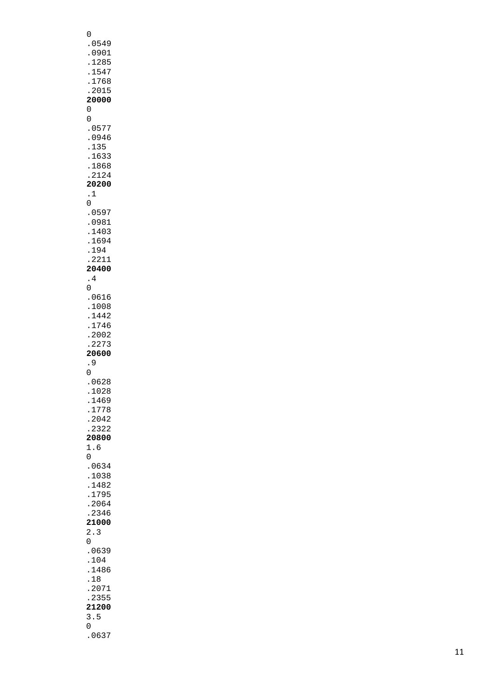| 0<br>.0549<br>.0901<br>. 1285<br>1547<br>.1768<br>.2015<br>20000<br>0                                                                            |  |
|--------------------------------------------------------------------------------------------------------------------------------------------------|--|
| 0<br>.0577<br>0946<br>$\ddot{\phantom{0}}$<br>135<br>$\ddot{\phantom{0}}$<br>1633<br>.1868<br>.2124<br>20200<br>$\cdot$ 1                        |  |
| 0<br>.0597<br>0981<br>$\ddot{\phantom{0}}$<br>.1403<br>1694<br>.194<br>.2211<br>20400<br>$\frac{4}{1}$                                           |  |
| 0<br>.0616<br>1008<br>$\ddot{\phantom{0}}$<br>1442<br>$\ddot{\phantom{0}}$<br>1746<br>.2002<br>.2273<br>20600<br>. 9                             |  |
| 0<br>.0628<br>1028<br>1469<br>1778<br>$\ddot{\phantom{0}}$<br>.2042<br>.2322<br>20800<br>1.6                                                     |  |
| 0<br>.0634<br>1038<br>$\ddot{\phantom{0}}$<br>1482<br>$\ddot{\phantom{0}}$<br>$\ddot{\phantom{0}}$<br>1795<br>.2064<br>2346<br>21000<br>2.3<br>0 |  |
| .0639<br>104<br>$\ddot{\phantom{0}}$<br>1486<br>$\ddot{\phantom{0}}$<br>$\ddot{\phantom{0}}$<br>18<br>.2071<br>.2355<br>21200<br>3.5<br>0        |  |
| .0637                                                                                                                                            |  |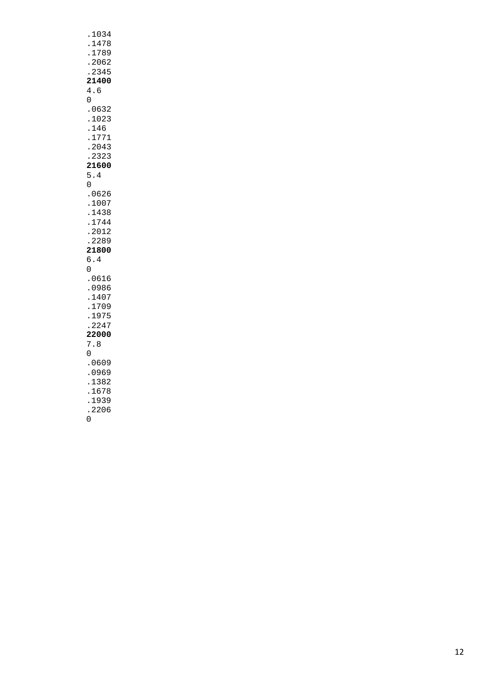| 4.6<br>0                                                              |     | .1034<br>2345<br>21400                                         | .1478<br>.1789<br>.2062 |  |
|-----------------------------------------------------------------------|-----|----------------------------------------------------------------|-------------------------|--|
| $\ddot{\phantom{0}}$<br>0                                             | 5.4 | .0632<br>.1023<br>.146<br>.1771<br>2043<br>2323<br>21600       |                         |  |
| $\ddot{\cdot}$<br>$\ddot{\phantom{0}}$<br>$\ddot{\phantom{0}}$<br>6.4 |     | .0626<br>.1007<br>/ ں<br>1438<br>1741<br>1744<br>2012<br>.2289 | 21800                   |  |
| 0<br>$\ddot{\phantom{0}}$<br>7                                        |     | .0616<br>.0986<br>1407<br>1709<br>.1975<br>.2247<br>.8         | 22000                   |  |
| 0<br>$\ddot{\phantom{0}}$<br>$\ddot{\phantom{0}}$<br>$\frac{1}{0}$    |     | .0609<br>.0969<br>1382<br>1678<br>1939<br>2206                 |                         |  |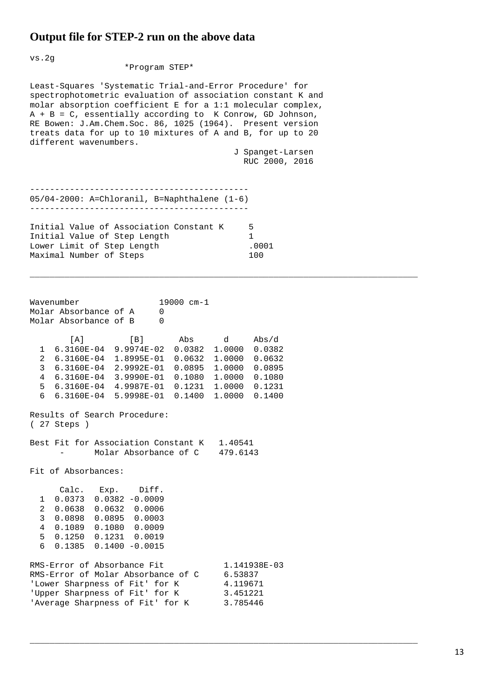## **Output file for STEP-2 run on the above data**

vs.2g

\*Program STEP\*

Least-Squares 'Systematic Trial-and-Error Procedure' for spectrophotometric evaluation of association constant K and molar absorption coefficient E for a 1:1 molecular complex,  $A + B = C$ , essentially according to K Conrow, GD Johnson, RE Bowen: J.Am.Chem.Soc. 86, 1025 (1964). Present version treats data for up to 10 mixtures of A and B, for up to 20 different wavenumbers.

> J Spanget-Larsen RUC 2000, 2016

\_\_\_\_\_\_\_\_\_\_\_\_\_\_\_\_\_\_\_\_\_\_\_\_\_\_\_\_\_\_\_\_\_\_\_\_\_\_\_\_\_\_\_\_\_\_\_\_\_\_\_\_\_\_\_\_\_\_\_\_\_\_\_\_\_\_\_\_\_\_\_\_\_\_\_\_\_\_

\_\_\_\_\_\_\_\_\_\_\_\_\_\_\_\_\_\_\_\_\_\_\_\_\_\_\_\_\_\_\_\_\_\_\_\_\_\_\_\_\_\_\_\_\_\_\_\_\_\_\_\_\_\_\_\_\_\_\_\_\_\_\_\_\_\_\_\_\_\_\_\_\_\_\_\_\_\_

|  | 05/04-2000: A=Chloranil, B=Naphthalene (1-6) |  |
|--|----------------------------------------------|--|
|  |                                              |  |

Initial Value of Association Constant K 5 Initial Value of Step Length 1 Lower Limit of Step Length .0001 Maximal Number of Steps

Wavenumber 19000 cm-1<br>Molar Absorbance of A 0 Molar Absorbance of A 0<br>Molar Absorbance of B 0 Molar Absorbance of B 0 [A] [B] Abs d Abs/d 1 6.3160E-04 9.9974E-02 0.0382 1.0000 0.0382 2 6.3160E-04 1.8995E-01 0.0632 1.0000 0.0632 3 6.3160E-04 2.9992E-01 0.0895 1.0000 0.0895 4 6.3160E-04 3.9990E-01 0.1080 1.0000 0.1080 5 6.3160E-04 4.9987E-01 0.1231 1.0000 0.1231 6 6.3160E-04 5.9998E-01 0.1400 1.0000 0.1400 Results of Search Procedure: ( 27 Steps ) Best Fit for Association Constant K 1.40541 - Molar Absorbance of C 479.6143 Fit of Absorbances: Calc. Exp. Diff. 1 0.0373 0.0382 -0.0009 2 0.0638 0.0632 0.0006 3 0.0898 0.0895 0.0003 4 0.1089 0.1080 0.0009 5 0.1250 0.1231 0.0019 6 0.1385 0.1400 -0.0015 RMS-Error of Absorbance Fit 1.141938E-03<br>RMS-Error of Molar Absorbance of C 6.53837 RMS-Error of Molar Absorbance of C 6.53837<br>'Lower Sharpness of Fit' for K 4.119671 'Lower Sharpness of Fit' for K 4.119671 'Upper Sharpness of Fit' for K 3.451221 'Average Sharpness of Fit' for K 3.785446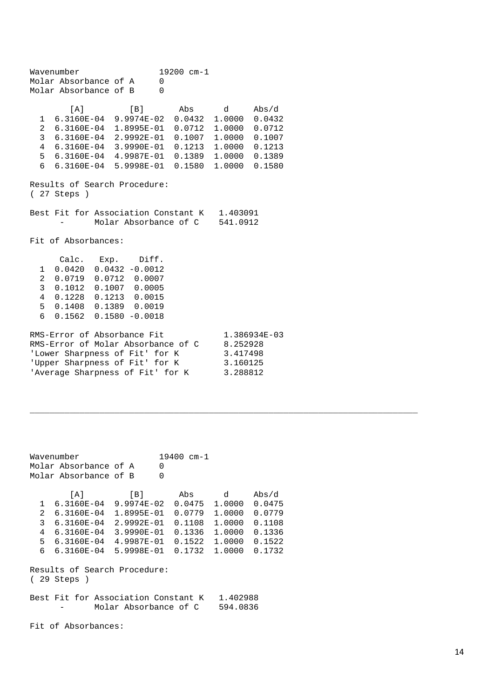|                                                                                                                                                                                                                                  | 19200 cm-1<br>Wavenumber    |                                                                                                                                                                                                                                  |     |                                                          |                                                                   |
|----------------------------------------------------------------------------------------------------------------------------------------------------------------------------------------------------------------------------------|-----------------------------|----------------------------------------------------------------------------------------------------------------------------------------------------------------------------------------------------------------------------------|-----|----------------------------------------------------------|-------------------------------------------------------------------|
|                                                                                                                                                                                                                                  | Molar Absorbance of A       | $\mathbf 0$                                                                                                                                                                                                                      |     |                                                          |                                                                   |
|                                                                                                                                                                                                                                  | Molar Absorbance of B       | $\Omega$                                                                                                                                                                                                                         |     |                                                          |                                                                   |
|                                                                                                                                                                                                                                  | [A]                         | [B]<br>1 6.3160E-04 9.9974E-02 0.0432 1.0000<br>2 6.3160E-04 1.8995E-01<br>3 6.3160E-04 2.9992E-01 0.1007<br>4 6.3160E-04 3.9990E-01 0.1213 1.0000<br>5 6.3160E-04 4.9987E-01 0.1389 1.0000<br>6  6.3160E-04  5.9998E-01  0.1580 | Abs | $\mathbf d$<br>$0.0712 \quad 1.0000$<br>1.0000<br>1.0000 | Abs/d<br>0.0432<br>0.0712<br>0.1007<br>0.1213<br>0.1389<br>0.1580 |
|                                                                                                                                                                                                                                  |                             | Results of Search Procedure:                                                                                                                                                                                                     |     |                                                          |                                                                   |
|                                                                                                                                                                                                                                  | $(27$ Steps $)$             |                                                                                                                                                                                                                                  |     |                                                          |                                                                   |
|                                                                                                                                                                                                                                  |                             |                                                                                                                                                                                                                                  |     |                                                          |                                                                   |
|                                                                                                                                                                                                                                  |                             | Best Fit for Association Constant K                                                                                                                                                                                              |     | 1.403091                                                 |                                                                   |
|                                                                                                                                                                                                                                  |                             | Molar Absorbance of C 541.0912                                                                                                                                                                                                   |     |                                                          |                                                                   |
|                                                                                                                                                                                                                                  | Fit of Absorbances:         |                                                                                                                                                                                                                                  |     |                                                          |                                                                   |
| Calc. Exp. Diff.<br>$0.0420$ $0.0432$ $-0.0012$<br>1<br>2 0.0719 0.0712 0.0007<br>3<br>0.1012  0.1007  0.0005<br>$\overline{4}$<br>$0.1228$ $0.1213$ $0.0015$<br>5<br>0.1408  0.1389  0.0019<br>6<br>$0.1562$ $0.1580$ $-0.0018$ |                             |                                                                                                                                                                                                                                  |     |                                                          |                                                                   |
|                                                                                                                                                                                                                                  | RMS-Error of Absorbance Fit | RMS-Error of Molar Absorbance of C<br>'Lower Sharpness of Fit' for K<br>'Upper Sharpness of Fit' for K<br>'Average Sharpness of Fit' for K                                                                                       |     | 8.252928<br>3.417498<br>3.160125<br>3.288812             | 1.386934E-03                                                      |

|                                              | Wavenumber<br>$19400 \, cm - 1$     |                       |          |                      |        |  |  |
|----------------------------------------------|-------------------------------------|-----------------------|----------|----------------------|--------|--|--|
|                                              | Molar Absorbance of A               |                       | 0        |                      |        |  |  |
|                                              | Molar Absorbance of B               |                       | $\Omega$ |                      |        |  |  |
|                                              | $\lceil A \rceil$                   | [B]                   | Abs      | d                    | Abs/d  |  |  |
| $\mathbf{1}$                                 | $6.3160E-04$ 9.9974E-02 0.0475      |                       |          | 1,0000               | 0.0475 |  |  |
| 2                                            | 6.3160E-04 1.8995E-01 0.0779        |                       |          | 1,0000               | 0.0779 |  |  |
| 3                                            | 6.3160E-04 2.9992E-01               |                       | 0.1108   | 1,0000               | 0.1108 |  |  |
| 4                                            | 6.3160E-04 3.9990E-01               |                       | 0.1336   | 1,0000               | 0.1336 |  |  |
| 5                                            | 6.3160E-04 4.9987E-01               |                       | 0.1522   | 1.0000               | 0.1522 |  |  |
| 6                                            | 6.3160E-04 5.9998E-01               |                       | 0.1732   | 1.0000               | 0.1732 |  |  |
| Results of Search Procedure:<br>$(29$ Steps) |                                     |                       |          |                      |        |  |  |
|                                              | Best Fit for Association Constant K | Molar Absorbance of C |          | 1.402988<br>594.0836 |        |  |  |

\_\_\_\_\_\_\_\_\_\_\_\_\_\_\_\_\_\_\_\_\_\_\_\_\_\_\_\_\_\_\_\_\_\_\_\_\_\_\_\_\_\_\_\_\_\_\_\_\_\_\_\_\_\_\_\_\_\_\_\_\_\_\_\_\_\_\_\_\_\_\_\_\_\_\_\_\_\_

Fit of Absorbances: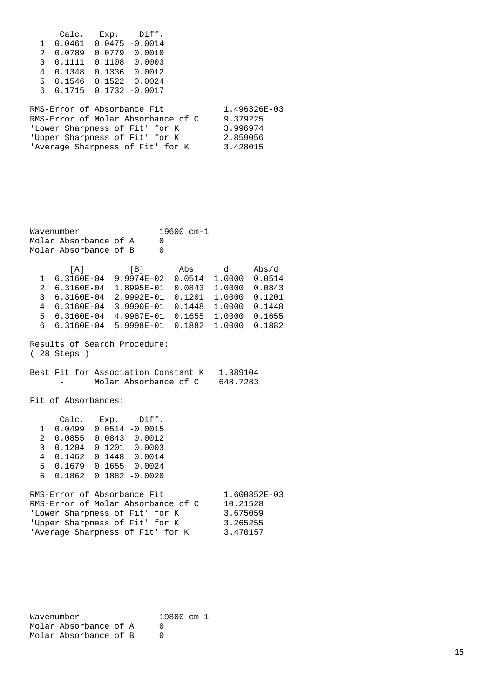|                         | Calc.                                  | Exp. | Diff.                              |              |
|-------------------------|----------------------------------------|------|------------------------------------|--------------|
|                         | $1 \quad 0.0461 \quad 0.0475 - 0.0014$ |      |                                    |              |
|                         | 2 0.0789                               |      | 0.0779 0.0010                      |              |
| $\overline{\mathbf{3}}$ | 0.1111                                 |      | $0.1108$ 0.0003                    |              |
| 4                       | 0.1348  0.1336  0.0012                 |      |                                    |              |
|                         | 5 0.1546 0.1522 0.0024                 |      |                                    |              |
|                         | $60.17150.1732 -0.0017$                |      |                                    |              |
|                         |                                        |      |                                    |              |
|                         | RMS-Error of Absorbance Fit            |      |                                    | 1.496326E-03 |
|                         |                                        |      | RMS-Error of Molar Absorbance of C | 9.379225     |
|                         |                                        |      | 'Lower Sharpness of Fit' for K     | 3.996974     |
|                         |                                        |      | 'Upper Sharpness of Fit' for K     | 2.859056     |
|                         |                                        |      | 'Average Sharpness of Fit' for K   | 3.428015     |
|                         |                                        |      |                                    |              |

\_\_\_\_\_\_\_\_\_\_\_\_\_\_\_\_\_\_\_\_\_\_\_\_\_\_\_\_\_\_\_\_\_\_\_\_\_\_\_\_\_\_\_\_\_\_\_\_\_\_\_\_\_\_\_\_\_\_\_\_\_\_\_\_\_\_\_\_\_\_\_\_\_\_\_\_\_\_

\_\_\_\_\_\_\_\_\_\_\_\_\_\_\_\_\_\_\_\_\_\_\_\_\_\_\_\_\_\_\_\_\_\_\_\_\_\_\_\_\_\_\_\_\_\_\_\_\_\_\_\_\_\_\_\_\_\_\_\_\_\_\_\_\_\_\_\_\_\_\_\_\_\_\_\_\_\_

Wavenumber 19600 cm-1<br>Molar Absorbance of A 0 Molar Absorbance of A 0<br>Molar Absorbance of B 0 Molar Absorbance of B 0 [A] [B] Abs d Abs/d 1 6.3160E-04 9.9974E-02 0.0514 1.0000 0.0514 2 6.3160E-04 1.8995E-01 0.0843 1.0000 0.0843 3 6.3160E-04 2.9992E-01 0.1201 1.0000 0.1201 4 6.3160E-04 3.9990E-01 0.1448 1.0000 0.1448  $6.3160E-04$  4.9987E-01 6 6.3160E-04 5.9998E-01 0.1882 1.0000 0.1882 Results of Search Procedure: ( 28 Steps ) Best Fit for Association Constant K 1.389104<br>Molar Absorbance of C 648.7283 Molar Absorbance of C Fit of Absorbances: Calc. Exp. Diff. 1 0.0499 0.0514 -0.0015 2 0.0855 0.0843 0.0012 3 0.1204 0.1201 0.0003 4 0.1462 0.1448 0.0014 5 0.1679 0.1655 0.0024 6 0.1862 0.1882 -0.0020 RMS-Error of Absorbance Fit 1.600852E-03<br>RMS-Error of Molar Absorbance of C 10.21528 RMS-Error of Molar Absorbance of C 10.21528<br>'Lower Sharpness of Fit' for K 3.675059 'Lower Sharpness of Fit' for K 3.675059<br>'Upper Sharpness of Fit' for K 3.265255 'Upper Sharpness of Fit' for K 3.265255 'Average Sharpness of Fit' for K

Wavenumber 19800 cm-1 Molar Absorbance of A 0<br>Molar Absorbance of B 0 Molar Absorbance of B 0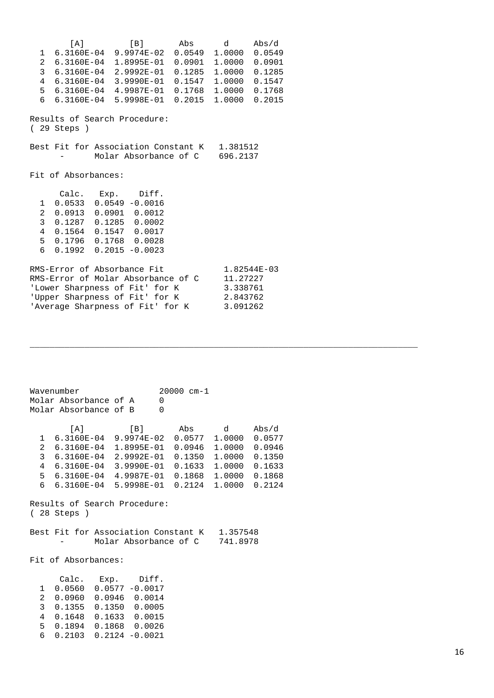[A] [B] Abs d Abs/d 1 6.3160E-04 9.9974E-02 0.0549 1.0000 0.0549 2 6.3160E-04 1.8995E-01 0.0901 1.0000 0.0901 3 6.3160E-04 2.9992E-01 0.1285 1.0000 0.1285 4 6.3160E-04 3.9990E-01 0.1547 1.0000 0.1547 5 6.3160E-04 4.9987E-01 0.1768 1.0000 0.1768 6 6.3160E-04 5.9998E-01 0.2015 1.0000 0.2015 Results of Search Procedure: ( 29 Steps ) Best Fit for Association Constant K 1.381512 - Molar Absorbance of C 696.2137 Fit of Absorbances: Calc. Exp. Diff. 1 0.0533 0.0549 -0.0016 2 0.0913 0.0901 0.0012 3 0.1287 0.1285 0.0002 4 0.1564 0.1547 0.0017 5 0.1796 0.1768 0.0028 6 0.1992 0.2015 -0.0023 RMS-Error of Absorbance Fit  $1.82544E-03$ RMS-Error of Molar Absorbance of C 11.27227 'Lower Sharpness of Fit' for K 3.338761 'Upper Sharpness of Fit' for K 2.843762 'Average Sharpness of Fit' for K 3.091262

\_\_\_\_\_\_\_\_\_\_\_\_\_\_\_\_\_\_\_\_\_\_\_\_\_\_\_\_\_\_\_\_\_\_\_\_\_\_\_\_\_\_\_\_\_\_\_\_\_\_\_\_\_\_\_\_\_\_\_\_\_\_\_\_\_\_\_\_\_\_\_\_\_\_\_\_\_\_

Wavenumber 20000 cm-1 Molar Absorbance of A 0 Molar Absorbance of B 0 [A] [B] Abs d Abs/d 1 6.3160E-04 9.9974E-02 0.0577 1.0000 0.0577 2 6.3160E-04 1.8995E-01 0.0946 1.0000 0.0946 3 6.3160E-04 2.9992E-01 0.1350 1.0000 0.1350 4 6.3160E-04 3.9990E-01 0.1633 1.0000 0.1633 5 6.3160E-04 4.9987E-01 0.1868 1.0000 0.1868 6 6.3160E-04 5.9998E-01 0.2124 1.0000 0.2124 Results of Search Procedure: ( 28 Steps ) Best Fit for Association Constant K 1.357548 - Molar Absorbance of C 741.8978 Fit of Absorbances: Calc. Exp. Diff. 1 0.0560 0.0577 -0.0017 2 0.0960 0.0946 0.0014 3 0.1355 0.1350 0.0005 4 0.1648 0.1633 0.0015 5 0.1894 0.1868 0.0026 6 0.2103 0.2124 -0.0021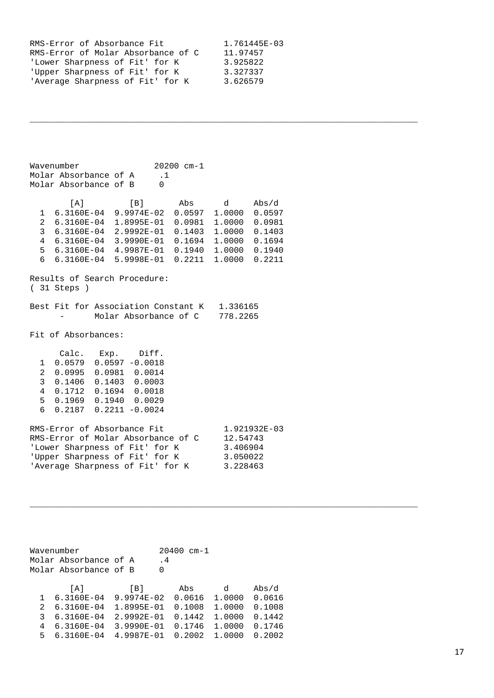| RMS-Error of Absorbance Fit        | 1.761445E-03 |
|------------------------------------|--------------|
| RMS-Error of Molar Absorbance of C | 11.97457     |
| 'Lower Sharpness of Fit' for K     | 3.925822     |
| 'Upper Sharpness of Fit' for K     | 3.327337     |
| 'Average Sharpness of Fit' for K   | 3.626579     |

\_\_\_\_\_\_\_\_\_\_\_\_\_\_\_\_\_\_\_\_\_\_\_\_\_\_\_\_\_\_\_\_\_\_\_\_\_\_\_\_\_\_\_\_\_\_\_\_\_\_\_\_\_\_\_\_\_\_\_\_\_\_\_\_\_\_\_\_\_\_\_\_\_\_\_\_\_\_

\_\_\_\_\_\_\_\_\_\_\_\_\_\_\_\_\_\_\_\_\_\_\_\_\_\_\_\_\_\_\_\_\_\_\_\_\_\_\_\_\_\_\_\_\_\_\_\_\_\_\_\_\_\_\_\_\_\_\_\_\_\_\_\_\_\_\_\_\_\_\_\_\_\_\_\_\_\_

Wavenumber 20200 cm-1<br>Molar Absorbance of A .1 Molar Absorbance of A .1<br>Molar Absorbance of B 0 Molar Absorbance of B 0 [A] [B] Abs d Abs/d 1 6.3160E-04 9.9974E-02 0.0597 1.0000 0.0597 2 6.3160E-04 1.8995E-01 0.0981 1.0000 0.0981 3 6.3160E-04 2.9992E-01 0.1403 1.0000 0.1403 4 6.3160E-04 3.9990E-01 0.1694 1.0000 0.1694 5 6.3160E-04 4.9987E-01 0.1940 1.0000 0.1940 6 6.3160E-04 5.9998E-01 0.2211 1.0000 0.2211 Results of Search Procedure: ( 31 Steps ) Best Fit for Association Constant K 1.336165<br>Molar Absorbance of C 778.2265 Molar Absorbance of C Fit of Absorbances: Calc. Exp. Diff. 1 0.0579 0.0597 -0.0018 2 0.0995 0.0981 0.0014 3 0.1406 0.1403 0.0003 4 0.1712 0.1694 0.0018 5 0.1969 0.1940 0.0029 6 0.2187 0.2211 -0.0024 RMS-Error of Absorbance Fit 1.921932E-03<br>RMS-Error of Molar Absorbance of C 12.54743 RMS-Error of Molar Absorbance of C 12.54743<br>'Lower Sharpness of Fit' for K 3.406904 'Lower Sharpness of Fit' for K 3.406904<br>'Upper Sharpness of Fit' for K 3.050022 'Upper Sharpness of Fit' for K 3.050022<br>'Average Sharpness of Fit' for K 3.228463 'Average Sharpness of Fit' for K

|               | Wavenumber<br>Molar Absorbance of A<br>Molar Absorbance of B |                | 20400<br>$\cdot$ 4<br>0 | $cm-1$ |        |               |
|---------------|--------------------------------------------------------------|----------------|-------------------------|--------|--------|---------------|
|               | A                                                            | [B]            | Abs                     |        | d      | $\Delta bs/d$ |
|               | 6.3160E-04                                                   | $9.9974E - 02$ | 0.0616                  |        | 1.0000 | 0.0616        |
| $\mathcal{L}$ | $6.3160E - 04$                                               | 1.8995E-01     | 0.1008                  |        | 1,0000 | 0.1008        |
| 3             | $6.3160E - 04$                                               | 2.9992E-01     | 0.1442                  |        | 1,0000 | 0.1442        |
| 4             | $6.3160E - 04$                                               | 3.9990E-01     | 0.1746                  |        | 1.0000 | 0.1746        |
| Б.            | $6.3160E - 04$                                               | 4.9987E-01     | 0.2002                  |        | 1,0000 | 0.2002        |
|               |                                                              |                |                         |        |        |               |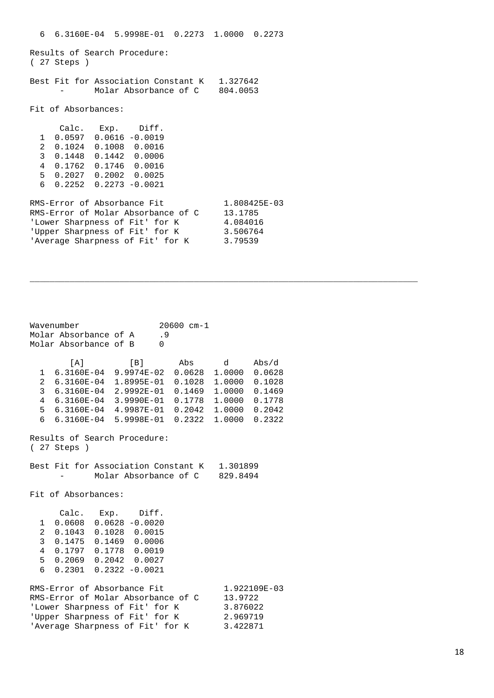6 6.3160E-04 5.9998E-01 0.2273 1.0000 0.2273 Results of Search Procedure: ( 27 Steps ) Best Fit for Association Constant K 1.327642 Molar Absorbance of C 804.0053 Fit of Absorbances: Calc. Exp. Diff. 1 0.0597 0.0616 -0.0019 2 0.1024 0.1008 0.0016 3 0.1448 0.1442 0.0006 4 0.1762 0.1746 0.0016 5 0.2027 0.2002 0.0025 6 0.2252 0.2273 -0.0021 RMS-Error of Absorbance Fit  $1.808425E-03$ RMS-Error of Molar Absorbance of C 13.1785 'Lower Sharpness of Fit' for K  $4.084016$ 'Upper Sharpness of Fit' for K 3.506764 'Average Sharpness of Fit' for K 3.79539

\_\_\_\_\_\_\_\_\_\_\_\_\_\_\_\_\_\_\_\_\_\_\_\_\_\_\_\_\_\_\_\_\_\_\_\_\_\_\_\_\_\_\_\_\_\_\_\_\_\_\_\_\_\_\_\_\_\_\_\_\_\_\_\_\_\_\_\_\_\_\_\_\_\_\_\_\_\_

Wavenumber 20600 cm-1 Molar Absorbance of A .9 Molar Absorbance of B 0 [A] [B] Abs d Abs/d 1 6.3160E-04 9.9974E-02 0.0628 1.0000 0.0628 2 6.3160E-04 1.8995E-01 0.1028 1.0000 0.1028 3 6.3160E-04 2.9992E-01 0.1469 1.0000 0.1469 4 6.3160E-04 3.9990E-01 0.1778 1.0000 0.1778 5 6.3160E-04 4.9987E-01 0.2042 1.0000 0.2042 6 6.3160E-04 5.9998E-01 0.2322 1.0000 0.2322 Results of Search Procedure: ( 27 Steps ) Best Fit for Association Constant K 1.301899 Molar Absorbance of C 829.8494 Fit of Absorbances: Calc. Exp. Diff. 1 0.0608 0.0628 -0.0020 2 0.1043 0.1028 0.0015 3 0.1475 0.1469 0.0006 4 0.1797 0.1778 0.0019 5 0.2069 0.2042 0.0027 6 0.2301 0.2322 -0.0021 RMS-Error of Absorbance Fit  $1.922109E-03$ RMS-Error of Molar Absorbance of C 13.9722 'Lower Sharpness of Fit' for K 3.876022 'Upper Sharpness of Fit' for K 2.969719 'Average Sharpness of Fit' for K 3.422871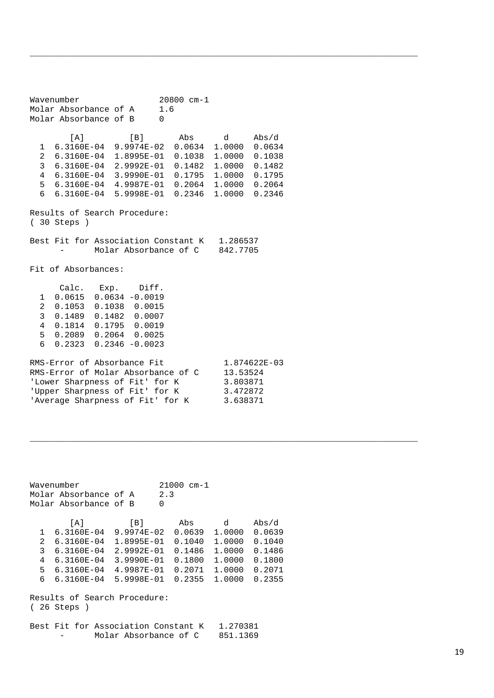Wavenumber 20800 cm-1<br>Molar Absorbance of A 1.6 Molar Absorbance of A 1<br>Molar Absorbance of B 1.0 Molar Absorbance of B 0 [A] [B] Abs d Abs/d 1 6.3160E-04 9.9974E-02 0.0634 1.0000 0.0634 2 6.3160E-04 1.8995E-01 0.1038 1.0000 0.1038 3 6.3160E-04 2.9992E-01 0.1482 1.0000 0.1482 4 6.3160E-04 3.9990E-01 0.1795 1.0000 0.1795 5 6.3160E-04 4.9987E-01 0.2064 1.0000 0.2064 6 6.3160E-04 5.9998E-01 0.2346 1.0000 0.2346 Results of Search Procedure: ( 30 Steps ) Best Fit for Association Constant K 1.286537<br>- Molar Absorbance of C 842.7705 Molar Absorbance of C Fit of Absorbances: Calc. Exp. Diff. 1 0.0615 0.0634 -0.0019 2 0.1053 0.1038 0.0015 3 0.1489 0.1482 0.0007 4 0.1814 0.1795 0.0019 5 0.2089 0.2064 0.0025 6 0.2323 0.2346 -0.0023 RMS-Error of Absorbance Fit 1.874622E-03<br>RMS-Error of Molar Absorbance of C 13.53524 RMS-Error of Molar Absorbance of C 13.53524<br>'Lower Sharpness of Fit' for K 3.803871 'Lower Sharpness of Fit' for K 3.803871<br>'Upper Sharpness of Fit' for K 3.472872 'Upper Sharpness of Fit' for K 3.472872

\_\_\_\_\_\_\_\_\_\_\_\_\_\_\_\_\_\_\_\_\_\_\_\_\_\_\_\_\_\_\_\_\_\_\_\_\_\_\_\_\_\_\_\_\_\_\_\_\_\_\_\_\_\_\_\_\_\_\_\_\_\_\_\_\_\_\_\_\_\_\_\_\_\_\_\_\_\_

\_\_\_\_\_\_\_\_\_\_\_\_\_\_\_\_\_\_\_\_\_\_\_\_\_\_\_\_\_\_\_\_\_\_\_\_\_\_\_\_\_\_\_\_\_\_\_\_\_\_\_\_\_\_\_\_\_\_\_\_\_\_\_\_\_\_\_\_\_\_\_\_\_\_\_\_\_\_

```
Wavenumber 21000 cm-1<br>Molar Absorbance of A 2.3
Molar Absorbance of A 2<br>Molar Absorbance of B 0
Molar Absorbance of B 0 
 [A] [B] Abs d Abs/d
 1 6.3160E-04 9.9974E-02 0.0639 1.0000 0.0639
   2 6.3160E-04 1.8995E-01 0.1040 1.0000 0.1040
   3 6.3160E-04 2.9992E-01 0.1486 1.0000 0.1486
   4 6.3160E-04 3.9990E-01 0.1800 1.0000 0.1800
   5 6.3160E-04 4.9987E-01 0.2071 1.0000 0.2071
   6 6.3160E-04 5.9998E-01 0.2355 1.0000 0.2355
```
Results of Search Procedure: ( 26 Steps )

'Average Sharpness of Fit' for K

Best Fit for Association Constant K 1.270381 Molar Absorbance of C 851.1369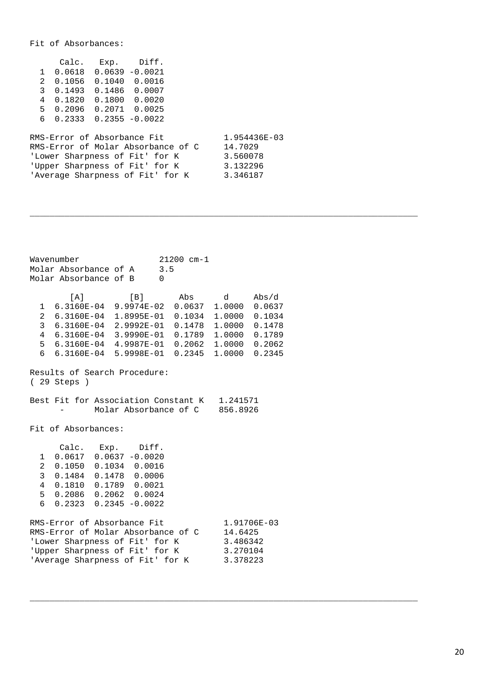#### Fit of Absorbances:

|   | Calc.                       | $Exp.$ $Diff.$                     |              |
|---|-----------------------------|------------------------------------|--------------|
|   | 1 0.0618 0.0639 -0.0021     |                                    |              |
|   | 2 0.1056 0.1040 0.0016      |                                    |              |
|   | 3 0.1493                    | 0.1486   0.0007                    |              |
| 4 | 0.1820                      | 0.1800   0.0020                    |              |
|   | 5 0.2096 0.2071 0.0025      |                                    |              |
|   | $6$ 0.2333 0.2355 -0.0022   |                                    |              |
|   |                             |                                    |              |
|   | RMS-Error of Absorbance Fit |                                    | 1.954436E-03 |
|   |                             | RMS-Error of Molar Absorbance of C | 14.7029      |
|   |                             | 'Lower Sharpness of Fit' for K     | 3.560078     |

| 'Lower Sharpness of Fit' for K   | 3.560078 |
|----------------------------------|----------|
| 'Upper Sharpness of Fit' for K   | 3.132296 |
| 'Average Sharpness of Fit' for K | 3.346187 |

\_\_\_\_\_\_\_\_\_\_\_\_\_\_\_\_\_\_\_\_\_\_\_\_\_\_\_\_\_\_\_\_\_\_\_\_\_\_\_\_\_\_\_\_\_\_\_\_\_\_\_\_\_\_\_\_\_\_\_\_\_\_\_\_\_\_\_\_\_\_\_\_\_\_\_\_\_\_

\_\_\_\_\_\_\_\_\_\_\_\_\_\_\_\_\_\_\_\_\_\_\_\_\_\_\_\_\_\_\_\_\_\_\_\_\_\_\_\_\_\_\_\_\_\_\_\_\_\_\_\_\_\_\_\_\_\_\_\_\_\_\_\_\_\_\_\_\_\_\_\_\_\_\_\_\_\_

|                                                                                                                                                                                                                                                          | Wavenumber<br>Molar Absorbance of A<br>Molar Absorbance of B                                                                                                                                                                                               |  |     | $21200$ cm-1<br>3.5<br>$\Omega$ |  |                                                            |       |
|----------------------------------------------------------------------------------------------------------------------------------------------------------------------------------------------------------------------------------------------------------|------------------------------------------------------------------------------------------------------------------------------------------------------------------------------------------------------------------------------------------------------------|--|-----|---------------------------------|--|------------------------------------------------------------|-------|
| $\overline{a}$<br>3<br>$\overline{4}$<br>6                                                                                                                                                                                                               | [A]<br>1 6.3160E-04 9.9974E-02 0.0637 1.0000 0.0637<br>6.3160E-04 1.8995E-01<br>$6.3160E-04$ $2.9992E-01$<br>6.3160E-04 3.9990E-01 0.1789 1.0000 0.1789<br>5  6.3160E-04  4.9987E-01  0.2062  1.0000  0.2062<br>6.3160E-04 5.9998E-01 0.2345 1.0000 0.2345 |  | [B] |                                 |  | Abs d<br>0.1034 1.0000 0.1034<br>$0.1478$ 1.0000 0.1478    | Abs/d |
|                                                                                                                                                                                                                                                          | Results of Search Procedure:<br>$(29$ Steps $)$                                                                                                                                                                                                            |  |     |                                 |  |                                                            |       |
|                                                                                                                                                                                                                                                          | Best Fit for Association Constant K 1.241571<br>Molar Absorbance of C 856.8926                                                                                                                                                                             |  |     |                                 |  |                                                            |       |
|                                                                                                                                                                                                                                                          | Fit of Absorbances:                                                                                                                                                                                                                                        |  |     |                                 |  |                                                            |       |
| Calc. Exp. Diff.<br>$0.0617$ $0.0637$ $-0.0020$<br>1<br>$\overline{a}$<br>$0.1050$ $0.1034$ $0.0016$<br>3<br>$0.1484$ $0.1478$ 0.0006<br>0.1810  0.1789  0.0021<br>$\overline{4}$<br>5<br>$0.2086$ $0.2062$ $0.0024$<br>6<br>$0.2323$ $0.2345$ $-0.0022$ |                                                                                                                                                                                                                                                            |  |     |                                 |  |                                                            |       |
|                                                                                                                                                                                                                                                          | RMS-Error of Absorbance Fit<br>RMS-Error of Molar Absorbance of C<br>'Lower Sharpness of Fit' for K<br>'Upper Sharpness of Fit' for K<br>'Average Sharpness of Fit' for K                                                                                  |  |     |                                 |  | 1.91706E-03<br>14.6425<br>3.486342<br>3.270104<br>3.378223 |       |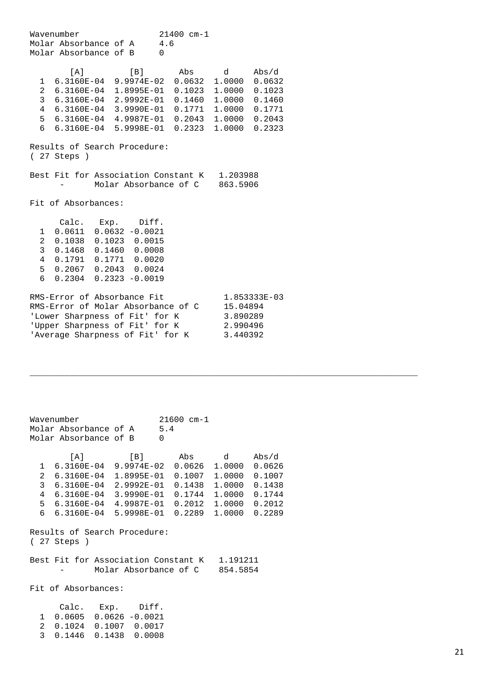Wavenumber  $21400 \text{ cm} - 1$ <br>Molar Absorbance of A  $4.6$ Molar Absorbance of A Molar Absorbance of B 0 [A] [B] Abs d Abs/d 1 6.3160E-04 9.9974E-02 0.0632 1.0000 0.0632 2 6.3160E-04 1.8995E-01 0.1023 1.0000 0.1023 3 6.3160E-04 2.9992E-01 0.1460 1.0000 0.1460 4 6.3160E-04 3.9990E-01 0.1771 1.0000 0.1771 5 6.3160E-04 4.9987E-01 0.2043 1.0000 0.2043 6 6.3160E-04 5.9998E-01 0.2323 1.0000 0.2323 Results of Search Procedure: ( 27 Steps ) Best Fit for Association Constant K 1.203988 - Molar Absorbance of C 863.5906 Fit of Absorbances: Calc. Exp. Diff. 1 0.0611 0.0632 -0.0021 2 0.1038 0.1023 0.0015 3 0.1468 0.1460 0.0008 4 0.1791 0.1771 0.0020 5 0.2067 0.2043 0.0024 6 0.2304 0.2323 -0.0019 RMS-Error of Absorbance Fit 1.853333E-03<br>RMS-Error of Molar Absorbance of C 15.04894 RMS-Error of Molar Absorbance of C 15.04894 'Lower Sharpness of Fit' for K 3.890289 Upper Sharpness of Fit' for K 2.990496<br>Nerage Sharpness of Fit' for K 3.440392 'Average Sharpness of Fit' for K

Wavenumber 21600 cm-1 Molar Absorbance of A 5.4 Molar Absorbance of B 0 [A] [B] Abs d Abs/d 1 6.3160E-04 9.9974E-02 0.0626 1.0000 0.0626 2 6.3160E-04 1.8995E-01 0.1007 1.0000 0.1007 3 6.3160E-04 2.9992E-01 0.1438 1.0000 0.1438 4 6.3160E-04 3.9990E-01 0.1744 1.0000 0.1744 5 6.3160E-04 4.9987E-01 0.2012 1.0000 0.2012 6 6.3160E-04 5.9998E-01 0.2289 1.0000 0.2289 Results of Search Procedure: ( 27 Steps ) Best Fit for Association Constant K 1.191211 Molar Absorbance of C 854.5854 Fit of Absorbances: Calc. Exp. Diff. 1 0.0605 0.0626 -0.0021 2 0.1024 0.1007 0.0017 3 0.1446 0.1438 0.0008

\_\_\_\_\_\_\_\_\_\_\_\_\_\_\_\_\_\_\_\_\_\_\_\_\_\_\_\_\_\_\_\_\_\_\_\_\_\_\_\_\_\_\_\_\_\_\_\_\_\_\_\_\_\_\_\_\_\_\_\_\_\_\_\_\_\_\_\_\_\_\_\_\_\_\_\_\_\_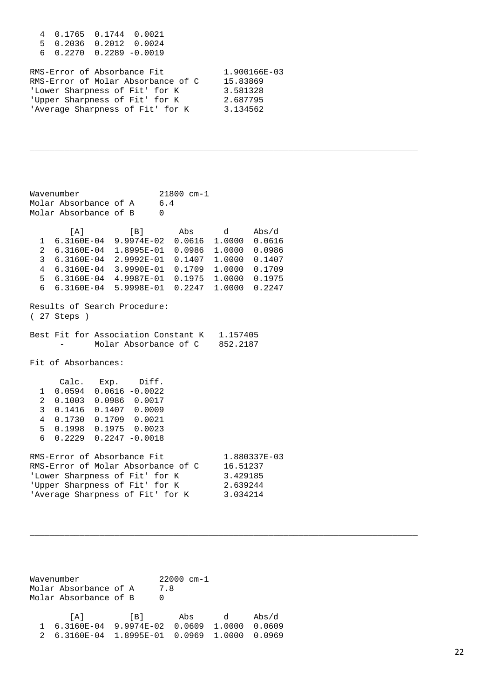| 4 0.1765 0.1744 0.0021<br>5 0.2036 0.2012 0.0024<br>$60.22700.2289 - 0.0019$                                                                                              |                                                              |
|---------------------------------------------------------------------------------------------------------------------------------------------------------------------------|--------------------------------------------------------------|
| RMS-Error of Absorbance Fit<br>RMS-Error of Molar Absorbance of C<br>'Lower Sharpness of Fit' for K<br>'Upper Sharpness of Fit' for K<br>'Average Sharpness of Fit' for K | 1.900166E-03<br>15.83869<br>3.581328<br>2.687795<br>3.134562 |

\_\_\_\_\_\_\_\_\_\_\_\_\_\_\_\_\_\_\_\_\_\_\_\_\_\_\_\_\_\_\_\_\_\_\_\_\_\_\_\_\_\_\_\_\_\_\_\_\_\_\_\_\_\_\_\_\_\_\_\_\_\_\_\_\_\_\_\_\_\_\_\_\_\_\_\_\_\_

\_\_\_\_\_\_\_\_\_\_\_\_\_\_\_\_\_\_\_\_\_\_\_\_\_\_\_\_\_\_\_\_\_\_\_\_\_\_\_\_\_\_\_\_\_\_\_\_\_\_\_\_\_\_\_\_\_\_\_\_\_\_\_\_\_\_\_\_\_\_\_\_\_\_\_\_\_\_

Wavenumber 21800 cm-1<br>Molar Absorbance of A 6.4 Molar Absorbance of A. Molar Absorbance of B 0 [A] [B] Abs d Abs/d 1 6.3160E-04 9.9974E-02 0.0616 1.0000 0.0616 2 6.3160E-04 1.8995E-01 0.0986 1.0000 0.0986 3 6.3160E-04 2.9992E-01 0.1407 1.0000 0.1407 4 6.3160E-04 3.9990E-01 0.1709 1.0000 0.1709 5 6.3160E-04 4.9987E-01 0.1975 1.0000 0.1975 6 6.3160E-04 5.9998E-01 0.2247 1.0000 0.2247 Results of Search Procedure: ( 27 Steps ) Best Fit for Association Constant K 1.157405<br>- Molar Absorbance of C 852.2187 Molar Absorbance of C Fit of Absorbances: Calc. Exp. Diff.<br>1 0 0594 0 0616 -0 0022  $0.0594$   $0.0616$   $-0.0022$  2 0.1003 0.0986 0.0017 3 0.1416 0.1407 0.0009 4 0.1730 0.1709 0.0021 5 0.1998 0.1975 0.0023 6 0.2229 0.2247 -0.0018 RMS-Error of Absorbance Fit 1.880337E-03<br>RMS-Error of Molar Absorbance of C 16.51237 RMS-Error of Molar Absorbance of C 16.51237<br>'Lower Sharpness of Fit' for K 3.429185 'Lower Sharpness of Fit' for K 3.429185<br>'Upper Sharpness of Fit' for K 2.639244 'Upper Sharpness of Fit' for K 2.639244<br>'Average Sharpness of Fit' for K 3.034214 'Average Sharpness of Fit' for K

Wavenumber 22000 cm-1<br>Molar Absorbance of A 7.8 Molar Absorbance of A 7<br>Molar Absorbance of B 0 Molar Absorbance of B 0 [A] [B] Abs d Abs/d 1 6.3160E-04 9.9974E-02 0.0609 1.0000 0.0609 2 6.3160E-04 1.8995E-01 0.0969 1.0000 0.0969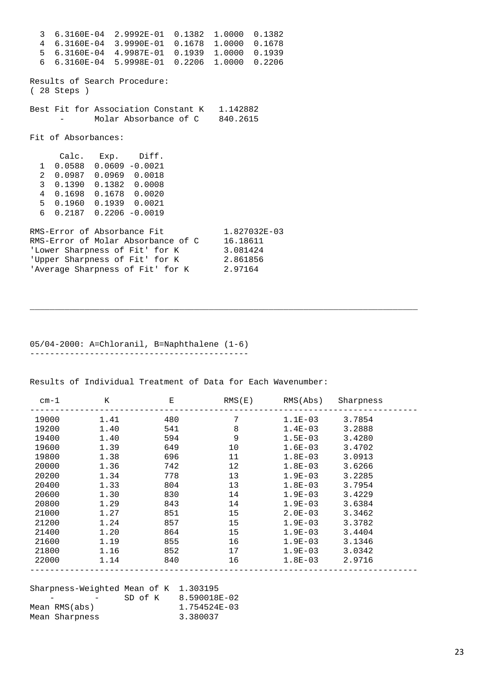3 6.3160E-04 2.9992E-01 0.1382 1.0000 0.1382 4 6.3160E-04 3.9990E-01 0.1678 1.0000 0.1678 5 6.3160E-04 4.9987E-01 0.1939 1.0000 0.1939 6 6.3160E-04 5.9998E-01 0.2206 1.0000 0.2206 Results of Search Procedure: ( 28 Steps ) Best Fit for Association Constant K 1.142882 Molar Absorbance of C 840.2615 Fit of Absorbances: Calc. Exp. Diff. 1 0.0588 0.0609 -0.0021 2 0.0987 0.0969 0.0018 3 0.1390 0.1382 0.0008 4 0.1698 0.1678 0.0020 5 0.1960 0.1939 0.0021 6 0.2187 0.2206 -0.0019 RMS-Error of Absorbance Fit  $1.827032E-03$ RMS-Error of Molar Absorbance of C 16.18611 'Lower Sharpness of Fit' for K 3.081424 'Upper Sharpness of Fit' for K 2.861856 'Average Sharpness of Fit' for K 2.97164

05/04-2000: A=Chloranil, B=Naphthalene (1-6) --------------------------------------------

Results of Individual Treatment of Data for Each Wavenumber:

| $cm-1$ | Κ    | Е   | RMS(E) | RMS(Abs)    | Sharpness |
|--------|------|-----|--------|-------------|-----------|
| 19000  | 1.41 | 480 | 7      | $1.1E-03$   | 3.7854    |
| 19200  | 1.40 | 541 | 8      | $1.4E-03$   | 3.2888    |
| 19400  | 1.40 | 594 | 9      | $1.5E-03$   | 3.4280    |
| 19600  | 1.39 | 649 | 10     | $1.6E-03$   | 3.4702    |
| 19800  | 1.38 | 696 | 11     | $1.8E-03$   | 3.0913    |
| 20000  | 1.36 | 742 | 12     | $1.8E-03$   | 3.6266    |
| 20200  | 1.34 | 778 | 13     | $1.9E-03$   | 3.2285    |
| 20400  | 1.33 | 804 | 13     | $1.8E-03$   | 3.7954    |
| 20600  | 1.30 | 830 | 14     | $1.9E-03$   | 3.4229    |
| 20800  | 1.29 | 843 | 14     | $1.9E - 03$ | 3.6384    |
| 21000  | 1.27 | 851 | 15     | $2.0E - 03$ | 3.3462    |
| 21200  | 1.24 | 857 | 15     | $1.9E-03$   | 3.3782    |
| 21400  | 1.20 | 864 | 15     | $1.9E - 03$ | 3.4404    |
| 21600  | 1.19 | 855 | 16     | $1.9E-03$   | 3.1346    |
| 21800  | 1.16 | 852 | 17     | $1.9E-03$   | 3.0342    |
| 22000  | 1.14 | 840 | 16     | $1.8E-03$   | 2.9716    |
|        |      |     |        |             |           |

\_\_\_\_\_\_\_\_\_\_\_\_\_\_\_\_\_\_\_\_\_\_\_\_\_\_\_\_\_\_\_\_\_\_\_\_\_\_\_\_\_\_\_\_\_\_\_\_\_\_\_\_\_\_\_\_\_\_\_\_\_\_\_\_\_\_\_\_\_\_\_\_\_\_\_\_\_\_

| Sharpness-Weighted Mean of K 1.303195 |                |         |              |
|---------------------------------------|----------------|---------|--------------|
|                                       |                | SD of K | 8.590018E-02 |
|                                       | Mean RMS(abs)  |         | 1.754524E-03 |
|                                       | Mean Sharpness |         | 3.380037     |